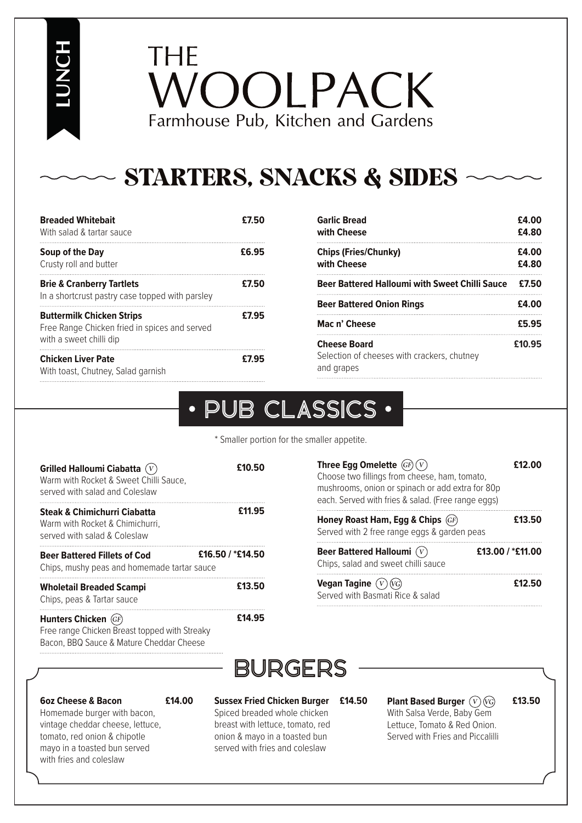**LUNCH**

THE 'OOLPACK Farmhouse Pub, Kitchen and Gardens

## STARTERS, SNACKS & SIDES

| <b>Breaded Whitebait</b><br>With salad & tartar sauce                                                        | £7.50 |
|--------------------------------------------------------------------------------------------------------------|-------|
| Soup of the Day<br>Crusty roll and butter                                                                    | £6.95 |
| <b>Brie &amp; Cranberry Tartlets</b><br>In a shortcrust pastry case topped with parsley                      | £7.50 |
| <b>Buttermilk Chicken Strips</b><br>Free Range Chicken fried in spices and served<br>with a sweet chilli dip | £7.95 |
| <b>Chicken Liver Pate</b><br>With toast, Chutney, Salad garnish                                              | £7.95 |

| £4.00<br>£4.80 |
|----------------|
| £4.00<br>£4.80 |
| £7.50          |
| £4.00          |
| £5.95          |
| £10.95         |
|                |

#### PUB CLASSICS  $\bullet$

\* Smaller portion for the smaller appetite.

| <b>Grilled Halloumi Ciabatta (V)</b><br>Warm with Rocket & Sweet Chilli Sauce.<br>served with salad and Coleslaw  | £10.50              |
|-------------------------------------------------------------------------------------------------------------------|---------------------|
| <b>Steak &amp; Chimichurri Ciabatta</b><br>Warm with Rocket & Chimichurri.<br>served with salad & Coleslaw        | £11.95              |
| <b>Beer Battered Fillets of Cod</b><br>Chips, mushy peas and homemade tartar sauce                                | £16.50 / $*$ £14.50 |
| <b>Wholetail Breaded Scampi</b><br>Chips, peas & Tartar sauce                                                     | £13.50              |
| Hunters Chicken $GF$<br>Free range Chicken Breast topped with Streaky<br>Bacon, BBQ Sauce & Mature Cheddar Cheese | £14.95              |

| Three Egg Omelette $(F)(V)$                                                                                                                                                                                                                                        | £12.00 |
|--------------------------------------------------------------------------------------------------------------------------------------------------------------------------------------------------------------------------------------------------------------------|--------|
| Choose two fillings from cheese, ham, tomato,<br>mushrooms, onion or spinach or add extra for 80p                                                                                                                                                                  |        |
| each. Served with fries & salad. (Free range eggs)                                                                                                                                                                                                                 |        |
| Honey Roast Ham, Egg & Chips (GF)<br>. The contract of the contract of the contract of the contract of the contract of the contract of the contract of the contract of the contract of the contract of the contract of the contract of the contract of the contrac | £13.50 |

| Served with 2 free range eggs & garden peas |                  |
|---------------------------------------------|------------------|
| Beer Battered Halloumi $(\overline{V})$     | £13.00 / *£11.00 |
| Chips, salad and sweet chilli sauce         |                  |
|                                             |                  |

**Vegan Tagine**  Served with Basmati Rice & salad

## BURGERS

#### **6oz Cheese & Bacon**

**£14.00**

Homemade burger with bacon, vintage cheddar cheese, lettuce, tomato, red onion & chipotle mayo in a toasted bun served with fries and coleslaw

#### **Sussex Fried Chicken Burger**  Spiced breaded whole chicken breast with lettuce, tomato, red onion & mayo in a toasted bun served with fries and coleslaw

**Plant Based Burger £14.50 £13.50** With Salsa Verde, Baby Gem Lettuce, Tomato & Red Onion. Served with Fries and Piccalilli

**£12.50**